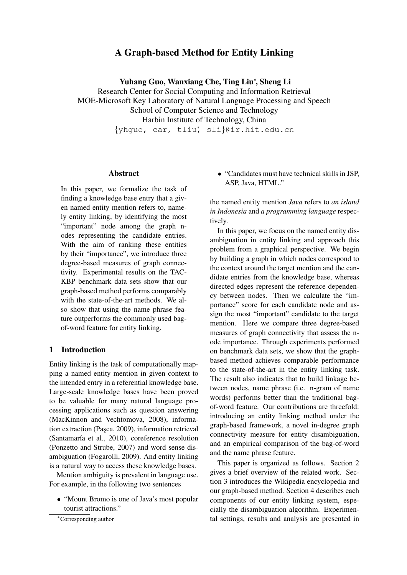# A Graph-based Method for Entity Linking

Yuhang Guo, Wanxiang Che, Ting Liu<sup>∗</sup>, Sheng Li

Research Center for Social Computing and Information Retrieval MOE-Microsoft Key Laboratory of Natural Language Processing and Speech School of Computer Science and Technology Harbin Institute of Technology, China

{yhguo, car, tliu<sup>∗</sup>, sli}@ir.hit.edu.cn

## **Abstract**

In this paper, we formalize the task of finding a knowledge base entry that a given named entity mention refers to, namely entity linking, by identifying the most "important" node among the graph nodes representing the candidate entries. With the aim of ranking these entities by their "importance", we introduce three degree-based measures of graph connectivity. Experimental results on the TAC-KBP benchmark data sets show that our graph-based method performs comparably with the state-of-the-art methods. We also show that using the name phrase feature outperforms the commonly used bagof-word feature for entity linking.

## 1 Introduction

Entity linking is the task of computationally mapping a named entity mention in given context to the intended entry in a referential knowledge base. Large-scale knowledge bases have been proved to be valuable for many natural language processing applications such as question answering (MacKinnon and Vechtomova, 2008), information extraction (Pasca, 2009), information retrieval (Santamaría et al., 2010), coreference resolution (Ponzetto and Strube, 2007) and word sense disambiguation (Fogarolli, 2009). And entity linking is a natural way to access these knowledge bases.

Mention ambiguity is prevalent in language use. For example, in the following two sentences

• "Mount Bromo is one of Java's most popular tourist attractions."

• "Candidates must have technical skills in JSP, ASP, Java, HTML."

the named entity mention *Java* refers to *an island in Indonesia* and *a programming language* respectively.

In this paper, we focus on the named entity disambiguation in entity linking and approach this problem from a graphical perspective. We begin by building a graph in which nodes correspond to the context around the target mention and the candidate entries from the knowledge base, whereas directed edges represent the reference dependency between nodes. Then we calculate the "importance" score for each candidate node and assign the most "important" candidate to the target mention. Here we compare three degree-based measures of graph connectivity that assess the node importance. Through experiments performed on benchmark data sets, we show that the graphbased method achieves comparable performance to the state-of-the-art in the entity linking task. The result also indicates that to build linkage between nodes, name phrase (i.e. n-gram of name words) performs better than the traditional bagof-word feature. Our contributions are threefold: introducing an entity linking method under the graph-based framework, a novel in-degree graph connectivity measure for entity disambiguation, and an empirical comparison of the bag-of-word and the name phrase feature.

This paper is organized as follows. Section 2 gives a brief overview of the related work. Section 3 introduces the Wikipedia encyclopedia and our graph-based method. Section 4 describes each components of our entity linking system, especially the disambiguation algorithm. Experimental settings, results and analysis are presented in

<sup>∗</sup>Corresponding author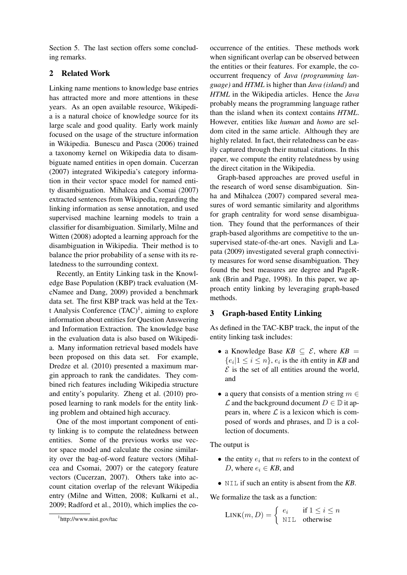Section 5. The last section offers some concluding remarks.

## 2 Related Work

Linking name mentions to knowledge base entries has attracted more and more attentions in these years. As an open available resource, Wikipedia is a natural choice of knowledge source for its large scale and good quality. Early work mainly focused on the usage of the structure information in Wikipedia. Bunescu and Pasca (2006) trained a taxonomy kernel on Wikipedia data to disambiguate named entities in open domain. Cucerzan (2007) integrated Wikipedia's category information in their vector space model for named entity disambiguation. Mihalcea and Csomai (2007) extracted sentences from Wikipedia, regarding the linking information as sense annotation, and used supervised machine learning models to train a classifier for disambiguation. Similarly, Milne and Witten (2008) adopted a learning approach for the disambiguation in Wikipedia. Their method is to balance the prior probability of a sense with its relatedness to the surrounding context.

Recently, an Entity Linking task in the Knowledge Base Population (KBP) track evaluation (McNamee and Dang, 2009) provided a benchmark data set. The first KBP track was held at the Text Analysis Conference  $(TAC)^1$ , aiming to explore information about entities for Question Answering and Information Extraction. The knowledge base in the evaluation data is also based on Wikipedia. Many information retrieval based models have been proposed on this data set. For example, Dredze et al. (2010) presented a maximum margin approach to rank the candidates. They combined rich features including Wikipedia structure and entity's popularity. Zheng et al. (2010) proposed learning to rank models for the entity linking problem and obtained high accuracy.

One of the most important component of entity linking is to compute the relatedness between entities. Some of the previous works use vector space model and calculate the cosine similarity over the bag-of-word feature vectors (Mihalcea and Csomai, 2007) or the category feature vectors (Cucerzan, 2007). Others take into account citation overlap of the relevant Wikipedia entry (Milne and Witten, 2008; Kulkarni et al., 2009; Radford et al., 2010), which implies the co-

occurrence of the entities. These methods work when significant overlap can be observed between the entities or their features. For example, the cooccurrent frequency of *Java (programming language)* and *HTML* is higher than *Java (island)* and *HTML* in the Wikipedia articles. Hence the *Java* probably means the programming language rather than the island when its context contains *HTML*. However, entities like *human* and *homo* are seldom cited in the same article. Although they are highly related. In fact, their relatedness can be easily captured through their mutual citations. In this paper, we compute the entity relatedness by using the direct citation in the Wikipedia.

Graph-based approaches are proved useful in the research of word sense disambiguation. Sinha and Mihalcea (2007) compared several measures of word semantic similarity and algorithms for graph centrality for word sense disambiguation. They found that the performances of their graph-based algorithms are competitive to the unsupervised state-of-the-art ones. Navigli and Lapata (2009) investigated several graph connectivity measures for word sense disambiguation. They found the best measures are degree and PageRank (Brin and Page, 1998). In this paper, we approach entity linking by leveraging graph-based methods.

### 3 Graph-based Entity Linking

As defined in the TAC-KBP track, the input of the entity linking task includes:

- a Knowledge Base  $KB \subseteq \mathcal{E}$ , where  $KB =$  $\{e_i|1 \leq i \leq n\}$ ,  $e_i$  is the *i*th entity in *KB* and  $\mathcal E$  is the set of all entities around the world, and
- a query that consists of a mention string  $m \in$  $\mathcal L$  and the background document  $D \in \mathbb D$  it appears in, where  $\mathcal L$  is a lexicon which is composed of words and phrases, and D is a collection of documents.

The output is

- the entity  $e_i$  that m refers to in the context of D, where  $e_i \in KB$ , and
- NIL if such an entity is absent from the *KB*.

We formalize the task as a function:

$$
LINK(m, D) = \begin{cases} e_i & \text{if } 1 \le i \le n \\ \text{NIL} & \text{otherwise} \end{cases}
$$

<sup>1</sup> http://www.nist.gov/tac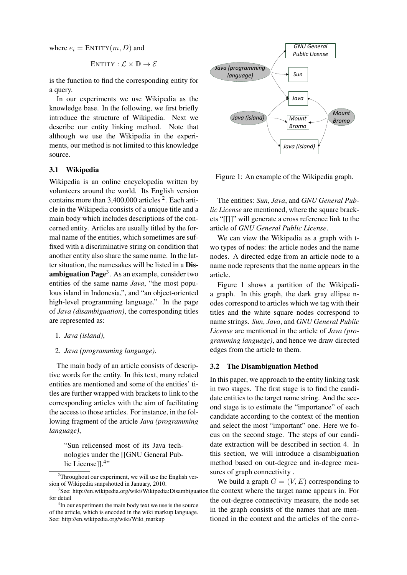where  $e_i =$  ENTITY $(m, D)$  and

$$
ENTITY: \mathcal{L} \times \mathbb{D} \rightarrow \mathcal{E}
$$

is the function to find the corresponding entity for a query.

In our experiments we use Wikipedia as the knowledge base. In the following, we first briefly introduce the structure of Wikipedia. Next we describe our entity linking method. Note that although we use the Wikipedia in the experiments, our method is not limited to this knowledge source.

## 3.1 Wikipedia

Wikipedia is an online encyclopedia written by volunteers around the world. Its English version contains more than  $3,400,000$  articles  $2$ . Each article in the Wikipedia consists of a unique title and a main body which includes descriptions of the concerned entity. Articles are usually titled by the formal name of the entities, which sometimes are suffixed with a discriminative string on condition that another entity also share the same name. In the latter situation, the namesakes will be listed in a Disambiguation Page<sup>3</sup>. As an example, consider two entities of the same name *Java*, "the most populous island in Indonesia,", and "an object-oriented high-level programming language." In the page of *Java (disambiguation)*, the corresponding titles are represented as:

- 1. *Java (island)*,
- 2. *Java (programming language)*.

The main body of an article consists of descriptive words for the entity. In this text, many related entities are mentioned and some of the entities' titles are further wrapped with brackets to link to the corresponding articles with the aim of facilitating the access to those articles. For instance, in the following fragment of the article *Java (programming language)*,

"Sun relicensed most of its Java technologies under the [[GNU General Public License]].<sup>4</sup>"



Figure 1: An example of the Wikipedia graph.

The entities: *Sun*, *Java*, and *GNU General Public License* are mentioned, where the square brackets "[[]]" will generate a cross reference link to the article of *GNU General Public License*.

We can view the Wikipedia as a graph with two types of nodes: the article nodes and the name nodes. A directed edge from an article node to a name node represents that the name appears in the article.

Figure 1 shows a partition of the Wikipedia graph. In this graph, the dark gray ellipse nodes correspond to articles which we tag with their titles and the white square nodes correspond to name strings. *Sun*, *Java*, and *GNU General Public License* are mentioned in the article of *Java (programming language)*, and hence we draw directed edges from the article to them.

### 3.2 The Disambiguation Method

In this paper, we approach to the entity linking task in two stages. The first stage is to find the candidate entities to the target name string. And the second stage is to estimate the "importance" of each candidate according to the context of the mention and select the most "important" one. Here we focus on the second stage. The steps of our candidate extraction will be described in section 4. In this section, we will introduce a disambiguation method based on out-degree and in-degree measures of graph connectivity .

We build a graph  $G = (V, E)$  corresponding to the out-degree connectivity measure, the node set in the graph consists of the names that are mentioned in the context and the articles of the corre-

 $2$ Throughout our experiment, we will use the English version of Wikipedia snapshotted in January, 2010.

<sup>&</sup>lt;sup>3</sup>See: http://en.wikipedia.org/wiki/Wikipedia:Disambiguation the context where the target name appears in. For for detail

<sup>&</sup>lt;sup>4</sup>In our experiment the main body text we use is the source of the article, which is encoded in the wiki markup language. See: http://en.wikipedia.org/wiki/Wiki\_markup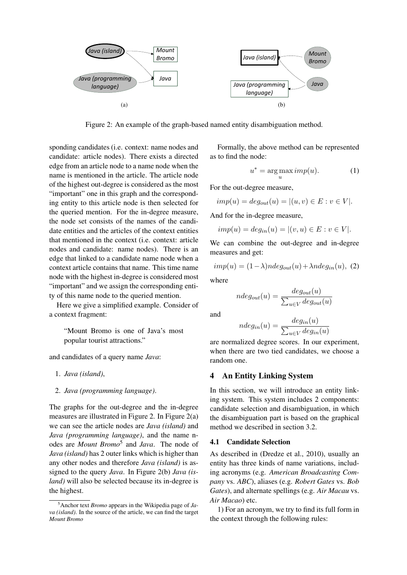

Figure 2: An example of the graph-based named entity disambiguation method.

sponding candidates (i.e. context: name nodes and candidate: article nodes). There exists a directed edge from an article node to a name node when the name is mentioned in the article. The article node of the highest out-degree is considered as the most "important" one in this graph and the corresponding entity to this article node is then selected for the queried mention. For the in-degree measure, the node set consists of the names of the candidate entities and the articles of the context entities that mentioned in the context (i.e. context: article nodes and candidate: name nodes). There is an edge that linked to a candidate name node when a context article contains that name. This time name node with the highest in-degree is considered most "important" and we assign the corresponding entity of this name node to the queried mention.

Here we give a simplified example. Consider of a context fragment:

"Mount Bromo is one of Java's most popular tourist attractions."

and candidates of a query name *Java*:

- 1. *Java (island)*,
- 2. *Java (programming language)*.

The graphs for the out-degree and the in-degree measures are illustrated in Figure 2. In Figure 2(a) we can see the article nodes are *Java (island)* and *Java (programming language)*, and the name nodes are *Mount Bromo*<sup>5</sup> and *Java*. The node of *Java (island)* has 2 outer links which is higher than any other nodes and therefore *Java (island)* is assigned to the query *Java*. In Figure 2(b) *Java (island*) will also be selected because its in-degree is the highest.

Formally, the above method can be represented as to find the node:

$$
u^* = \underset{u}{\arg\max} \, \text{imp}(u). \tag{1}
$$

For the out-degree measure,

$$
imp(u) = deg_{out}(u) = |(u, v) \in E : v \in V|.
$$

And for the in-degree measure,

$$
imp(u)=deg_{in}(u)=|(v,u)\in E: v\in V|.
$$

We can combine the out-degree and in-degree measures and get:

$$
imp(u) = (1 - \lambda)ndeg_{out}(u) + \lambda ndeg_{in}(u),
$$
 (2)

where

$$
ndeg_{out}(u) = \frac{deg_{out}(u)}{\sum_{u \in V} deg_{out}(u)}
$$

and

$$
ndeg_{in}(u) = \frac{deg_{in}(u)}{\sum_{u \in V}deg_{in}(u)}
$$

are normalized degree scores. In our experiment, when there are two tied candidates, we choose a random one.

#### 4 An Entity Linking System

In this section, we will introduce an entity linking system. This system includes 2 components: candidate selection and disambiguation, in which the disambiguation part is based on the graphical method we described in section 3.2.

## 4.1 Candidate Selection

As described in (Dredze et al., 2010), usually an entity has three kinds of name variations, including acronyms (e.g. *American Broadcasting Company* vs. *ABC*), aliases (e.g. *Robert Gates* vs. *Bob Gates*), and alternate spellings (e.g. *Air Macau* vs. *Air Macao*) etc.

1) For an acronym, we try to find its full form in the context through the following rules:

<sup>5</sup>Anchor text *Bromo* appears in the Wikipedia page of *Java (island)*. In the source of the article, we can find the target *Mount Bromo*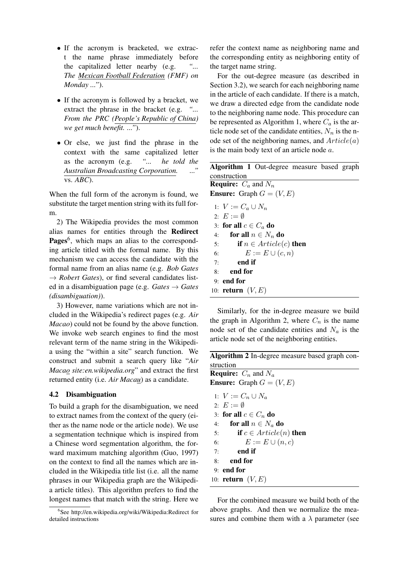- If the acronym is bracketed, we extract the name phrase immediately before the capitalized letter nearby (e.g. *"... The Mexican Football Federation (FMF) on Monday ..."*).
- If the acronym is followed by a bracket, we extract the phrase in the bracket (e.g. *"... From the PRC (People's Republic of China) we get much benefit. ..."*).
- Or else, we just find the phrase in the context with the same capitalized letter as the acronym (e.g. *"... he told the Australian Broadcasting Corporation. ..."* vs. *ABC*).

When the full form of the acronym is found, we substitute the target mention string with its full form.

2) The Wikipedia provides the most common alias names for entities through the Redirect Pages<sup>6</sup>, which maps an alias to the corresponding article titled with the formal name. By this mechanism we can access the candidate with the formal name from an alias name (e.g. *Bob Gates*  $\rightarrow$  *Robert Gates*), or find several candidates listed in a disambiguation page (e.g. *Gates* → *Gates (disambiguation)*).

3) However, name variations which are not included in the Wikipedia's redirect pages (e.g. *Air Macao*) could not be found by the above function. We invoke web search engines to find the most relevant term of the name string in the Wikipedia using the "within a site" search function. We construct and submit a search query like "*Air Macao site:en.wikipedia.org*" and extract the first returned entity (i.e. *Air Macau*) as a candidate.

## 4.2 Disambiguation

To build a graph for the disambiguation, we need to extract names from the context of the query (either as the name node or the article node). We use a segmentation technique which is inspired from a Chinese word segmentation algorithm, the forward maximum matching algorithm (Guo, 1997) on the context to find all the names which are included in the Wikipedia title list (i.e. all the name phrases in our Wikipedia graph are the Wikipedia article titles). This algorithm prefers to find the longest names that match with the string. Here we refer the context name as neighboring name and the corresponding entity as neighboring entity of the target name string.

For the out-degree measure (as described in Section 3.2), we search for each neighboring name in the article of each candidate. If there is a match, we draw a directed edge from the candidate node to the neighboring name node. This procedure can be represented as Algorithm 1, where  $C_a$  is the article node set of the candidate entities,  $N_n$  is the node set of the neighboring names, and  $Article(a)$ is the main body text of an article node  $a$ .

|                           |                                   |  |                                   |  | <b>Algorithm 1</b> Out-degree measure based graph |  |  |  |  |
|---------------------------|-----------------------------------|--|-----------------------------------|--|---------------------------------------------------|--|--|--|--|
|                           | construction                      |  |                                   |  |                                                   |  |  |  |  |
|                           | <b>Require:</b> $C_a$ and $N_n$   |  |                                   |  |                                                   |  |  |  |  |
|                           | <b>Ensure:</b> Graph $G = (V, E)$ |  |                                   |  |                                                   |  |  |  |  |
|                           | 1: $V := C_a \cup N_n$            |  |                                   |  |                                                   |  |  |  |  |
|                           | 2: $E := \emptyset$               |  |                                   |  |                                                   |  |  |  |  |
| 3: for all $c \in C_a$ do |                                   |  |                                   |  |                                                   |  |  |  |  |
|                           |                                   |  | 4: for all $n \in N_n$ do         |  |                                                   |  |  |  |  |
|                           | 5:                                |  | <b>if</b> $n \in Article(c)$ then |  |                                                   |  |  |  |  |
|                           | 6:                                |  | $E := E \cup (c, n)$              |  |                                                   |  |  |  |  |
|                           | end if<br>7:                      |  |                                   |  |                                                   |  |  |  |  |
| 8:                        | end for                           |  |                                   |  |                                                   |  |  |  |  |
|                           | $9:$ end for                      |  |                                   |  |                                                   |  |  |  |  |
|                           | 10: <b>return</b> $(V, E)$        |  |                                   |  |                                                   |  |  |  |  |

Similarly, for the in-degree measure we build the graph in Algorithm 2, where  $C_n$  is the name node set of the candidate entities and  $N_a$  is the article node set of the neighboring entities.

| Algorithm 2 In-degree measure based graph con- |
|------------------------------------------------|
| struction                                      |
| <b>Require:</b> $C_n$ and $N_a$                |
| <b>Ensure:</b> Graph $G = (V, E)$              |
| 1: $V := C_n \cup N_a$                         |
| 2: $E := \emptyset$                            |
| 3: for all $c \in C_n$ do                      |
| for all $n \in N_a$ do<br>4:                   |
| <b>if</b> $c \in Article(n)$ then<br>5:        |
| $E := E \cup (n, c)$<br>6:                     |
| end if<br>7:                                   |
| end for<br>8:                                  |
| $9:$ end for                                   |
| 10: <b>return</b> $(V, E)$                     |

For the combined measure we build both of the above graphs. And then we normalize the measures and combine them with a  $\lambda$  parameter (see

<sup>6</sup> See http://en.wikipedia.org/wiki/Wikipedia:Redirect for detailed instructions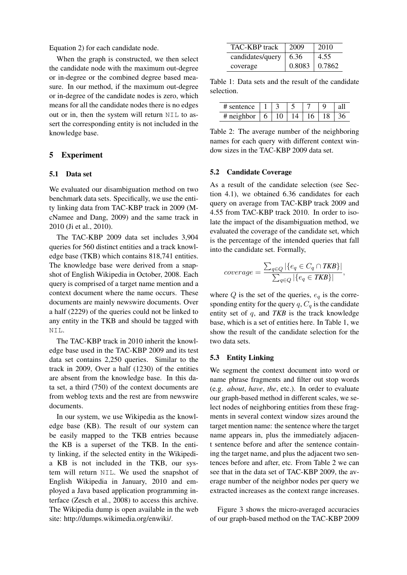Equation 2) for each candidate node.

When the graph is constructed, we then select the candidate node with the maximum out-degree or in-degree or the combined degree based measure. In our method, if the maximum out-degree or in-degree of the candidate nodes is zero, which means for all the candidate nodes there is no edges out or in, then the system will return NIL to assert the corresponding entity is not included in the knowledge base.

## 5 Experiment

#### 5.1 Data set

We evaluated our disambiguation method on two benchmark data sets. Specifically, we use the entity linking data from TAC-KBP track in 2009 (McNamee and Dang, 2009) and the same track in 2010 (Ji et al., 2010).

The TAC-KBP 2009 data set includes 3,904 queries for 560 distinct entities and a track knowledge base (TKB) which contains 818,741 entities. The knowledge base were derived from a snapshot of English Wikipedia in October, 2008. Each query is comprised of a target name mention and a context document where the name occurs. These documents are mainly newswire documents. Over a half (2229) of the queries could not be linked to any entity in the TKB and should be tagged with NIL.

The TAC-KBP track in 2010 inherit the knowledge base used in the TAC-KBP 2009 and its test data set contains 2,250 queries. Similar to the track in 2009, Over a half (1230) of the entities are absent from the knowledge base. In this data set, a third (750) of the context documents are from weblog texts and the rest are from newswire documents.

In our system, we use Wikipedia as the knowledge base (KB). The result of our system can be easily mapped to the TKB entries because the KB is a superset of the TKB. In the entity linking, if the selected entity in the Wikipedia KB is not included in the TKB, our system will return NIL. We used the snapshot of English Wikipedia in January, 2010 and employed a Java based application programming interface (Zesch et al., 2008) to access this archive. The Wikipedia dump is open available in the web site: http://dumps.wikimedia.org/enwiki/.

| TAC-KBP track    | 2009                 | 2010 |
|------------------|----------------------|------|
| candidates/query | 6.36                 | 4.55 |
| coverage         | $0.8083 \mid 0.7862$ |      |

Table 1: Data sets and the result of the candidate selection.

| # sentence |  |  |  |
|------------|--|--|--|
| neighbor   |  |  |  |

Table 2: The average number of the neighboring names for each query with different context window sizes in the TAC-KBP 2009 data set.

#### 5.2 Candidate Coverage

As a result of the candidate selection (see Section 4.1), we obtained 6.36 candidates for each query on average from TAC-KBP track 2009 and 4.55 from TAC-KBP track 2010. In order to isolate the impact of the disambiguation method, we evaluated the coverage of the candidate set, which is the percentage of the intended queries that fall into the candidate set. Formally,

$$
coverage = \frac{\sum_{q \in Q} |\{e_q \in C_q \cap TKB\}|}{\sum_{q \in Q} |\{e_q \in TKB\}|},
$$

where  $Q$  is the set of the queries,  $e_q$  is the corresponding entity for the query  $q$ ,  $C_q$  is the candidate entity set of q, and *TKB* is the track knowledge base, which is a set of entities here. In Table 1, we show the result of the candidate selection for the two data sets.

#### 5.3 Entity Linking

We segment the context document into word or name phrase fragments and filter out stop words (e.g. *about*, *have*, *the*, etc.). In order to evaluate our graph-based method in different scales, we select nodes of neighboring entities from these fragments in several context window sizes around the target mention name: the sentence where the target name appears in, plus the immediately adjacent sentence before and after the sentence containing the target name, and plus the adjacent two sentences before and after, etc. From Table 2 we can see that in the data set of TAC-KBP 2009, the average number of the neighbor nodes per query we extracted increases as the context range increases.

Figure 3 shows the micro-averaged accuracies of our graph-based method on the TAC-KBP 2009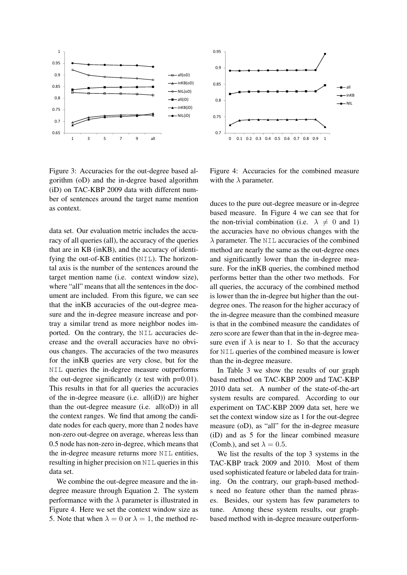

Figure 3: Accuracies for the out-degree based algorithm (oD) and the in-degree based algorithm (iD) on TAC-KBP 2009 data with different number of sentences around the target name mention as context.

data set. Our evaluation metric includes the accuracy of all queries (all), the accuracy of the queries that are in KB (inKB), and the accuracy of identifying the out-of-KB entities (NIL). The horizontal axis is the number of the sentences around the target mention name (i.e. context window size), where "all" means that all the sentences in the document are included. From this figure, we can see that the inKB accuracies of the out-degree measure and the in-degree measure increase and portray a similar trend as more neighbor nodes imported. On the contrary, the NIL accuracies decrease and the overall accuracies have no obvious changes. The accuracies of the two measures for the inKB queries are very close, but for the NIL queries the in-degree measure outperforms the out-degree significantly  $(z \text{ test with } p=0.01)$ . This results in that for all queries the accuracies of the in-degree measure (i.e.  $all(iD)$ ) are higher than the out-degree measure (i.e. all(oD)) in all the context ranges. We find that among the candidate nodes for each query, more than 2 nodes have non-zero out-degree on average, whereas less than 0.5 node has non-zero in-degree, which means that the in-degree measure returns more NIL entities, resulting in higher precision on NIL queries in this data set. <sup>6.65</sup><br>
<sup>6.65</sup><br>
<sup>6.65</sup><br> **Figure 3:** Accuracies for the out-degree based al-<br> **Figure 3:** Accuracies for the out-degree based algorithm<br>
(iD) on TAC-KBP 2009 data with different num-<br>
eber of sentences around the target n

We combine the out-degree measure and the indegree measure through Equation 2. The system performance with the  $\lambda$  parameter is illustrated in Figure 4. Here we set the context window size as



Figure 4: Accuracies for the combined measure with the  $\lambda$  parameter.

duces to the pure out-degree measure or in-degree based measure. In Figure 4 we can see that for the non-trivial combination (i.e.  $\lambda \neq 0$  and 1) the accuracies have no obvious changes with the  $\lambda$  parameter. The NIL accuracies of the combined method are nearly the same as the out-degree ones and significantly lower than the in-degree measure. For the inKB queries, the combined method performs better than the other two methods. For all queries, the accuracy of the combined method is lower than the in-degree but higher than the outdegree ones. The reason for the higher accuracy of the in-degree measure than the combined measure is that in the combined measure the candidates of zero score are fewer than that in the in-degree measure even if  $\lambda$  is near to 1. So that the accuracy for NIL queries of the combined measure is lower than the in-degree measure.

In Table 3 we show the results of our graph based method on TAC-KBP 2009 and TAC-KBP 2010 data set. A number of the state-of-the-art system results are compared. According to our experiment on TAC-KBP 2009 data set, here we set the context window size as 1 for the out-degree measure (oD), as "all" for the in-degree measure (iD) and as 5 for the linear combined measure (Comb.), and set  $\lambda = 0.5$ .

We list the results of the top 3 systems in the TAC-KBP track 2009 and 2010. Most of them used sophisticated feature or labeled data for training. On the contrary, our graph-based methods need no feature other than the named phrases. Besides, our system has few parameters to tune. Among these system results, our graphbased method with in-degree measure outperform-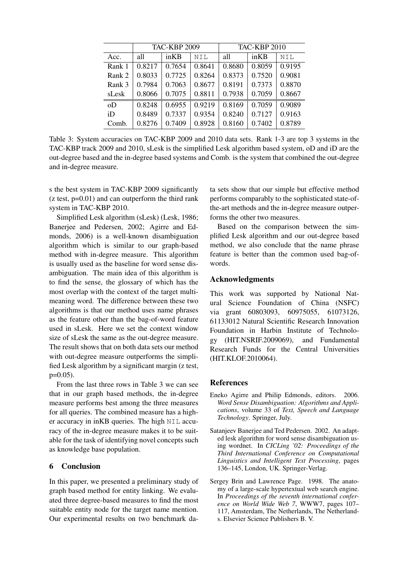|                | <b>TAC-KBP 2009</b> |        |        | <b>TAC-KBP 2010</b> |        |        |
|----------------|---------------------|--------|--------|---------------------|--------|--------|
| Acc.           | all                 | inKB   | NIL    | all                 | inKB   | NIL    |
| Rank 1         | 0.8217              | 0.7654 | 0.8641 | 0.8680              | 0.8059 | 0.9195 |
| Rank 2         | 0.8033              | 0.7725 | 0.8264 | 0.8373              | 0.7520 | 0.9081 |
| Rank 3         | 0.7984              | 0.7063 | 0.8677 | 0.8191              | 0.7373 | 0.8870 |
| sLesk          | 0.8066              | 0.7075 | 0.8811 | 0.7938              | 0.7059 | 0.8667 |
| 0 <sub>D</sub> | 0.8248              | 0.6955 | 0.9219 | 0.8169              | 0.7059 | 0.9089 |
| iD             | 0.8489              | 0.7337 | 0.9354 | 0.8240              | 0.7127 | 0.9163 |
| Comb.          | 0.8276              | 0.7409 | 0.8928 | 0.8160              | 0.7402 | 0.8789 |

Table 3: System accuracies on TAC-KBP 2009 and 2010 data sets. Rank 1-3 are top 3 systems in the TAC-KBP track 2009 and 2010, sLesk is the simplified Lesk algorithm based system, oD and iD are the out-degree based and the in-degree based systems and Comb. is the system that combined the out-degree and in-degree measure.

s the best system in TAC-KBP 2009 significantly  $(z \text{ test}, p=0.01)$  and can outperform the third rank system in TAC-KBP 2010.

Simplified Lesk algorithm (sLesk) (Lesk, 1986; Banerjee and Pedersen, 2002; Agirre and Edmonds, 2006) is a well-known disambiguation algorithm which is similar to our graph-based method with in-degree measure. This algorithm is usually used as the baseline for word sense disambiguation. The main idea of this algorithm is to find the sense, the glossary of which has the most overlap with the context of the target multimeaning word. The difference between these two algorithms is that our method uses name phrases as the feature other than the bag-of-word feature used in sLesk. Here we set the context window size of sLesk the same as the out-degree measure. The result shows that on both data sets our method with out-degree measure outperforms the simplified Lesk algorithm by a significant margin (z test,  $p=0.05$ ).

From the last three rows in Table 3 we can see that in our graph based methods, the in-degree measure performs best among the three measures for all queries. The combined measure has a higher accuracy in inKB queries. The high NIL accuracy of the in-degree measure makes it to be suitable for the task of identifying novel concepts such as knowledge base population.

## 6 Conclusion

In this paper, we presented a preliminary study of graph based method for entity linking. We evaluated three degree-based measures to find the most suitable entity node for the target name mention. Our experimental results on two benchmark data sets show that our simple but effective method performs comparably to the sophisticated state-ofthe-art methods and the in-degree measure outperforms the other two measures.

Based on the comparison between the simplified Lesk algorithm and our out-degree based method, we also conclude that the name phrase feature is better than the common used bag-ofwords.

### Acknowledgments

This work was supported by National Natural Science Foundation of China (NSFC) via grant 60803093, 60975055, 61073126, 61133012 Natural Scientific Research Innovation Foundation in Harbin Institute of Technology (HIT.NSRIF.2009069), and Fundamental Research Funds for the Central Universities (HIT.KLOF.2010064).

### References

- Eneko Agirre and Philip Edmonds, editors. 2006. *Word Sense Disambiguation: Algorithms and Applications*, volume 33 of *Text, Speech and Language Technology*. Springer, July.
- Satanjeev Banerjee and Ted Pedersen. 2002. An adapted lesk algorithm for word sense disambiguation using wordnet. In *CICLing '02: Proceedings of the Third International Conference on Computational Linguistics and Intelligent Text Processing*, pages 136–145, London, UK. Springer-Verlag.
- Sergey Brin and Lawrence Page. 1998. The anatomy of a large-scale hypertextual web search engine. In *Proceedings of the seventh international conference on World Wide Web 7*, WWW7, pages 107– 117, Amsterdam, The Netherlands, The Netherlands. Elsevier Science Publishers B. V.